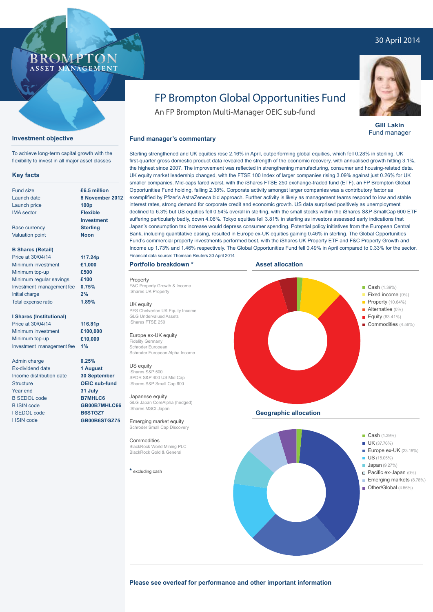## 30 April 2014



### **Investment objective**

To achieve long-term capital growth with the flexibility to invest in all major asset classes

#### **Key facts**

| Fund size                 | £6.5 million      |
|---------------------------|-------------------|
| Launch date               | 8 November 2012   |
| Launch price              | 100 <sub>p</sub>  |
| <b>IMA</b> sector         | <b>Flexible</b>   |
|                           | <b>Investment</b> |
| <b>Base currency</b>      | <b>Sterling</b>   |
| <b>Valuation point</b>    | <b>Noon</b>       |
| <b>B Shares (Retail)</b>  |                   |
| Price at 30/04/14         | 117.24p           |
| Minimum investment        | £1,000            |
| Minimum top-up            | £500              |
| Minimum regular savings   | £100              |
| Investment management fee | 0.75%             |
| Initial charge            | 2%                |
| Total expense ratio       | 1.89%             |

#### **I Shares (Institutional)**

Price at 30/04/14 Minimum investment Minimum top-up Investment management fee **£100,000 1%**

**116.81p**

**£10,000**

**0.25% 1 August 30 September OEIC sub-fund 31 July B7MHLC6 GB00B7MHLC66 B6STGZ7 GB00B6STGZ75**

Admin charge Ex-dividend date Income distribution date **Structure** Year end B SEDOL code B ISIN code I SEDOL code I ISIN code

# FP Brompton Global Opportunities Fund

An FP Brompton Multi-Manager OEIC sub-fund

### **Fund manager's commentary**

Sterling strengthened and UK equities rose 2.16% in April, outperforming global equities, which fell 0.28% in sterling. UK first-quarter gross domestic product data revealed the strength of the economic recovery, with annualised growth hitting 3.1%, the highest since 2007. The improvement was reflected in strengthening manufacturing, consumer and housing-related data. UK equity market leadership changed, with the FTSE 100 Index of larger companies rising 3.09% against just 0.26% for UK smaller companies. Mid-caps fared worst, with the iShares FTSE 250 exchange-traded fund (ETF), an FP Brompton Global Opportunities Fund holding, falling 2.38%. Corporate activity amongst larger companies was a contributory factor as exemplified by Pfizer's AstraZeneca bid approach. Further activity is likely as management teams respond to low and stable interest rates, strong demand for corporate credit and economic growth. US data surprised positively as unemployment declined to 6.3% but US equities fell 0.54% overall in sterling, with the small stocks within the iShares S&P SmallCap 600 ETF suffering particularly badly, down 4.06%. Tokyo equities fell 3.81% in sterling as investors assessed early indications that Japan's consumption tax increase would depress consumer spending. Potential policy initiatives from the European Central Bank, including quantitative easing, resulted in Europe ex-UK equities gaining 0.46% in sterling. The Global Opportunities Fund's commercial property investments performed best, with the iShares UK Property ETF and F&C Property Growth and Income up 1.73% and 1.46% respectively. The Global Opportunities Fund fell 0.49% in April compared to 0.33% for the sector. Financial data source: Thomson Reuters 30 April 2014

### **Portfolio breakdown \***

Property F&C Property Growth & Income iShares UK Property

#### UK equity

PFS Chelverton UK Equity Income GLG Undervalued Assets iShares FTSE 250

#### Europe ex-UK equity

Fidelity Germany Schroder European Schroder European Alpha Income

#### US equity

iShares S&P 500 SPDR S&P 400 US Mid Cap iShares S&P Small Cap 600

#### Japanese equity

GLG Japan CoreAlpha (hedged) iShares MSCI Japan

Emerging market equity Schroder Small Cap Discovery

#### **Commodities** BlackRock World Mining PLC BlackRock Gold & General

**\*** excluding cash





**Please see overleaf for performance and other important information**



**Gill Lakin** Fund manager